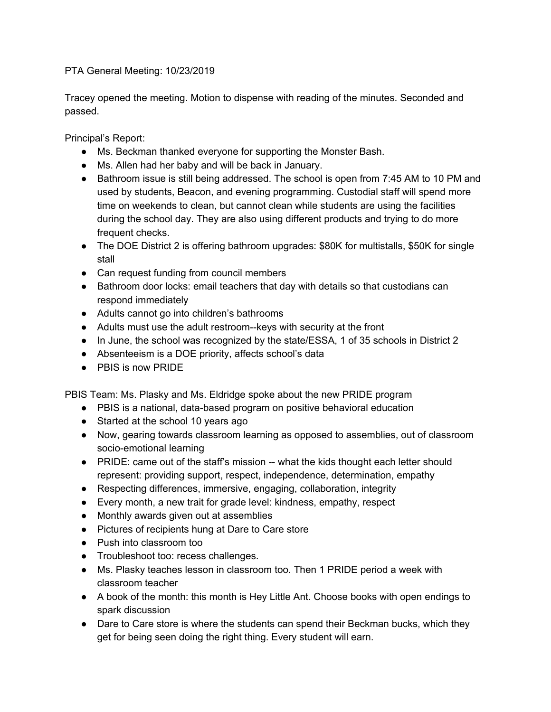PTA General Meeting: 10/23/2019

Tracey opened the meeting. Motion to dispense with reading of the minutes. Seconded and passed.

Principal's Report:

- Ms. Beckman thanked everyone for supporting the Monster Bash.
- Ms. Allen had her baby and will be back in January.
- Bathroom issue is still being addressed. The school is open from 7:45 AM to 10 PM and used by students, Beacon, and evening programming. Custodial staff will spend more time on weekends to clean, but cannot clean while students are using the facilities during the school day. They are also using different products and trying to do more frequent checks.
- The DOE District 2 is offering bathroom upgrades: \$80K for multistalls, \$50K for single stall
- Can request funding from council members
- Bathroom door locks: email teachers that day with details so that custodians can respond immediately
- Adults cannot go into children's bathrooms
- Adults must use the adult restroom--keys with security at the front
- In June, the school was recognized by the state/ESSA, 1 of 35 schools in District 2
- Absenteeism is a DOE priority, affects school's data
- PBIS is now PRIDE

PBIS Team: Ms. Plasky and Ms. Eldridge spoke about the new PRIDE program

- PBIS is a national, data-based program on positive behavioral education
- Started at the school 10 years ago
- Now, gearing towards classroom learning as opposed to assemblies, out of classroom socio-emotional learning
- PRIDE: came out of the staff's mission -- what the kids thought each letter should represent: providing support, respect, independence, determination, empathy
- Respecting differences, immersive, engaging, collaboration, integrity
- Every month, a new trait for grade level: kindness, empathy, respect
- Monthly awards given out at assemblies
- Pictures of recipients hung at Dare to Care store
- Push into classroom too
- Troubleshoot too: recess challenges.
- Ms. Plasky teaches lesson in classroom too. Then 1 PRIDE period a week with classroom teacher
- A book of the month: this month is Hey Little Ant. Choose books with open endings to spark discussion
- Dare to Care store is where the students can spend their Beckman bucks, which they get for being seen doing the right thing. Every student will earn.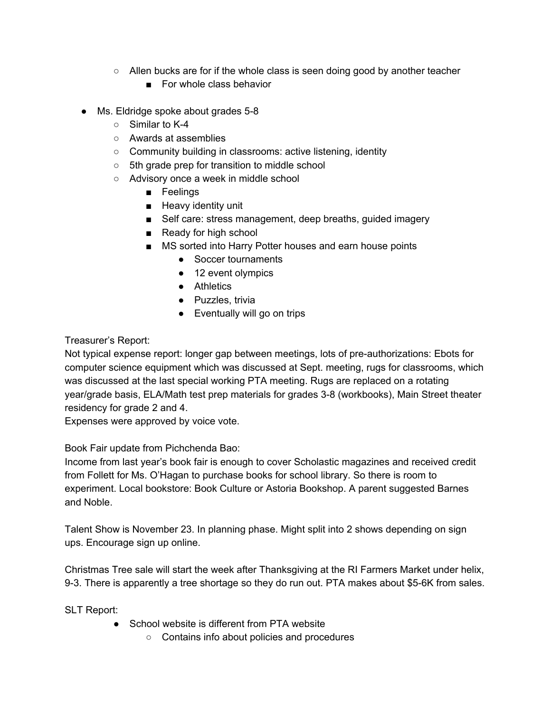- $\circ$  Allen bucks are for if the whole class is seen doing good by another teacher
	- For whole class behavior
- Ms. Eldridge spoke about grades 5-8
	- Similar to K-4
	- Awards at assemblies
	- Community building in classrooms: active listening, identity
	- 5th grade prep for transition to middle school
	- Advisory once a week in middle school
		- Feelings
		- Heavy identity unit
		- Self care: stress management, deep breaths, guided imagery
		- Ready for high school
		- MS sorted into Harry Potter houses and earn house points
			- Soccer tournaments
			- 12 event olympics
			- Athletics
			- Puzzles, trivia
			- Eventually will go on trips

## Treasurer's Report:

Not typical expense report: longer gap between meetings, lots of pre-authorizations: Ebots for computer science equipment which was discussed at Sept. meeting, rugs for classrooms, which was discussed at the last special working PTA meeting. Rugs are replaced on a rotating year/grade basis, ELA/Math test prep materials for grades 3-8 (workbooks), Main Street theater residency for grade 2 and 4.

Expenses were approved by voice vote.

Book Fair update from Pichchenda Bao:

Income from last year's book fair is enough to cover Scholastic magazines and received credit from Follett for Ms. O'Hagan to purchase books for school library. So there is room to experiment. Local bookstore: Book Culture or Astoria Bookshop. A parent suggested Barnes and Noble.

Talent Show is November 23. In planning phase. Might split into 2 shows depending on sign ups. Encourage sign up online.

Christmas Tree sale will start the week after Thanksgiving at the RI Farmers Market under helix, 9-3. There is apparently a tree shortage so they do run out. PTA makes about \$5-6K from sales.

SLT Report:

- School website is different from PTA website
	- Contains info about policies and procedures